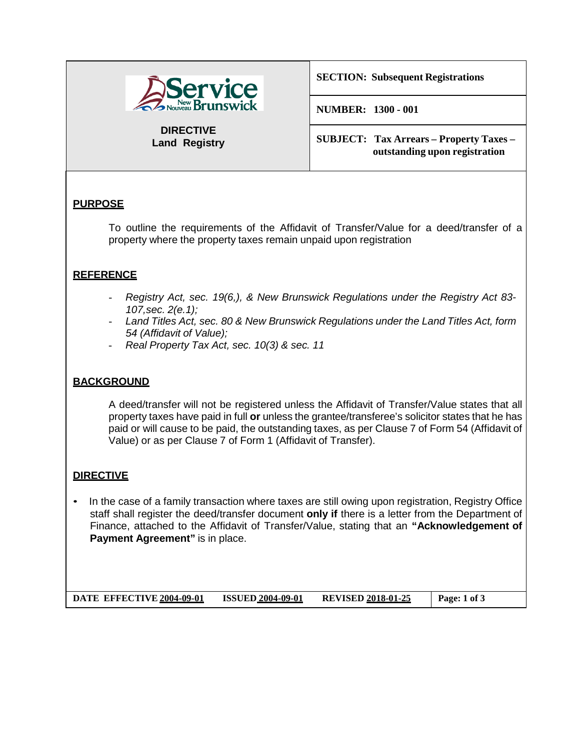

**DIRECTIVE Land Registry** **SECTION: Subsequent Registrations**

**NUMBER: 1300 - 001**

**SUBJECT: Tax Arrears – Property Taxes – outstanding upon registration**

# **PURPOSE**

To outline the requirements of the Affidavit of Transfer/Value for a deed/transfer of a property where the property taxes remain unpaid upon registration

#### **REFERENCE**

- *Registry Act, sec. 19(6,), & New Brunswick Regulations under the Registry Act 83- 107,sec. 2(e.1);*
- *Land Titles Act, sec. 80 & New Brunswick Regulations under the Land Titles Act, form 54 (Affidavit of Value);*
- *Real Property Tax Act, sec. 10(3) & sec. 11*

### **BACKGROUND**

A deed/transfer will not be registered unless the Affidavit of Transfer/Value states that all property taxes have paid in full **or** unless the grantee/transferee's solicitor states that he has paid or will cause to be paid, the outstanding taxes, as per Clause 7 of Form 54 (Affidavit of Value) or as per Clause 7 of Form 1 (Affidavit of Transfer).

### **DIRECTIVE**

• In the case of a family transaction where taxes are still owing upon registration, Registry Office staff shall register the deed/transfer document **only if** there is a letter from the Department of Finance, attached to the Affidavit of Transfer/Value, stating that an **"Acknowledgement of Payment Agreement"** is in place.

**DATE EFFECTIVE 2004-09-01 ISSUED 2004-09-01 REVISED 2018-01-25 Page: 1 of 3**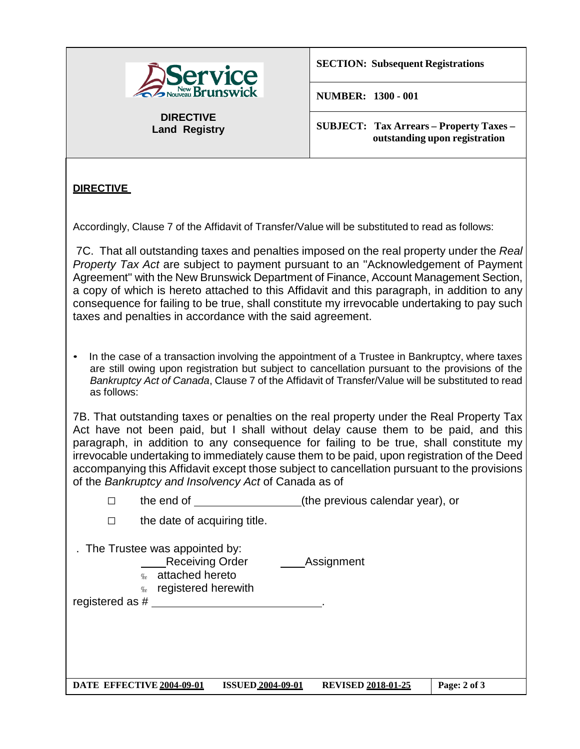

**DIRECTIVE Land Registry** **SECTION: Subsequent Registrations**

**NUMBER: 1300 - 001**

**SUBJECT: Tax Arrears – Property Taxes – outstanding upon registration**

# **DIRECTIVE**

Accordingly, Clause 7 of the Affidavit of Transfer/Value will be substituted to read as follows:

7C. That all outstanding taxes and penalties imposed on the real property under the *Real Property Tax Act* are subject to payment pursuant to an ''Acknowledgement of Payment Agreement'' with the New Brunswick Department of Finance, Account Management Section, a copy of which is hereto attached to this Affidavit and this paragraph, in addition to any consequence for failing to be true, shall constitute my irrevocable undertaking to pay such taxes and penalties in accordance with the said agreement.

• In the case of a transaction involving the appointment of a Trustee in Bankruptcy, where taxes are still owing upon registration but subject to cancellation pursuant to the provisions of the *Bankruptcy Act of Canada*, Clause 7 of the Affidavit of Transfer/Value will be substituted to read as follows:

7B. That outstanding taxes or penalties on the real property under the Real Property Tax Act have not been paid, but I shall without delay cause them to be paid, and this paragraph, in addition to any consequence for failing to be true, shall constitute my irrevocable undertaking to immediately cause them to be paid, upon registration of the Deed accompanying this Affidavit except those subject to cancellation pursuant to the provisions of the *Bankruptcy and Insolvency Act* of Canada as of

□ the end of (the previous calendar year), or

 $\Box$  the date of acquiring title. . The Trustee was appointed by: Receiving Order **Assignment «** attached hereto registered herewith registered as  $#$ **DATE EFFECTIVE 2004-09-01 ISSUED 2004-09-01 REVISED 2018-01-25 Page: 2 of 3**